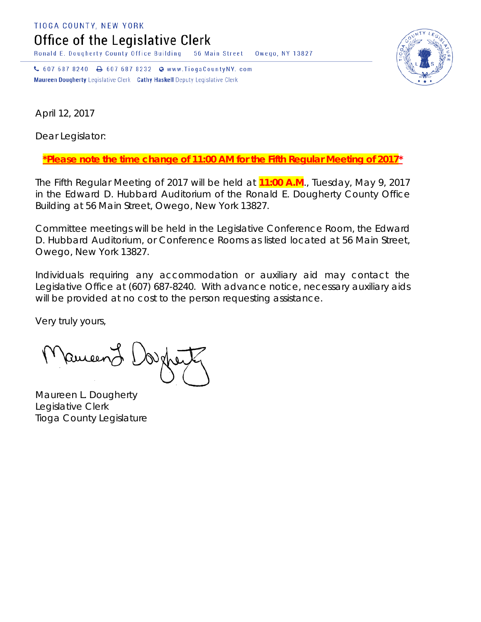TIOGA COUNTY, NEW YORK

Office of the Legislative Clerk

Ronald E. Dougherty County Office Building 56 Main Street Owego, NY 13827

↓ 607 687 8240 → 607 687 8232 → www.TiogaCountyNY.com Maureen Dougherty Legislative Clerk Cathy Haskell Deputy Legislative Clerk



April 12, 2017

Dear Legislator:

*\*Please note the time change of 11:00 AM for the Fifth Regular Meeting of 2017\**

The Fifth Regular Meeting of 2017 will be held at **11:00 A.M**., Tuesday, May 9, 2017 in the Edward D. Hubbard Auditorium of the Ronald E. Dougherty County Office Building at 56 Main Street, Owego, New York 13827.

Committee meetings will be held in the Legislative Conference Room, the Edward D. Hubbard Auditorium, or Conference Rooms as listed located at 56 Main Street, Owego, New York 13827.

Individuals requiring any accommodation or auxiliary aid may contact the Legislative Office at (607) 687-8240. With advance notice, necessary auxiliary aids will be provided at no cost to the person requesting assistance.

Very truly yours,

**Pancent** 

Maureen L. Dougherty Legislative Clerk Tioga County Legislature